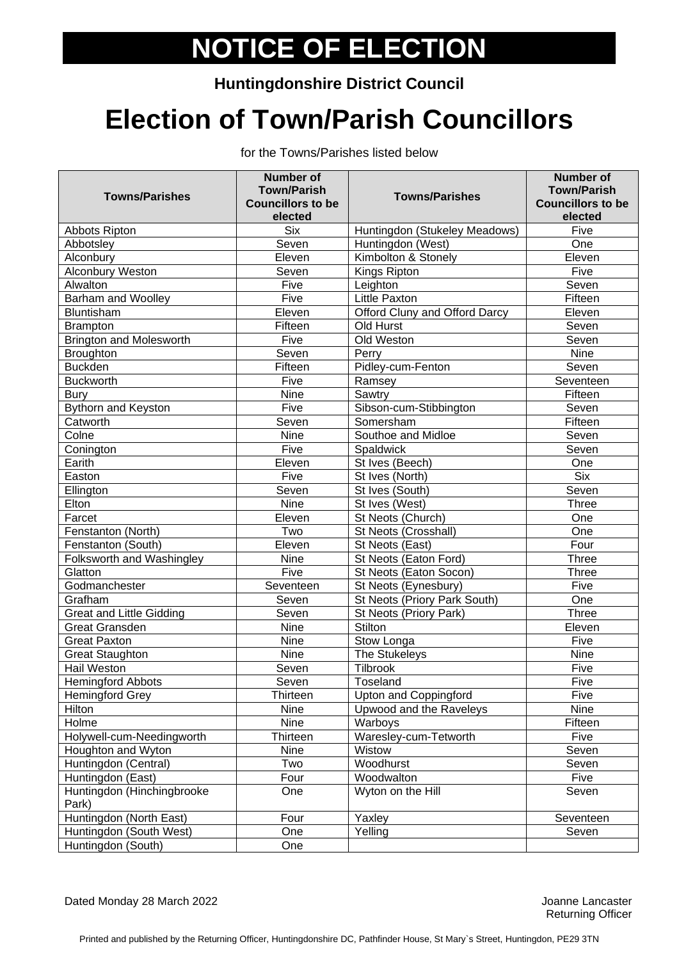## **NOTICE OF ELECTION**

## **Huntingdonshire District Council**

## **Election of Town/Parish Councillors**

for the Towns/Parishes listed below

| <b>Towns/Parishes</b>               | <b>Number of</b><br><b>Town/Parish</b><br><b>Councillors to be</b><br>elected | <b>Towns/Parishes</b>         | <b>Number of</b><br><b>Town/Parish</b><br><b>Councillors to be</b><br>elected |
|-------------------------------------|-------------------------------------------------------------------------------|-------------------------------|-------------------------------------------------------------------------------|
| Abbots Ripton                       | <b>Six</b>                                                                    | Huntingdon (Stukeley Meadows) | Five                                                                          |
| Abbotsley                           | Seven                                                                         | Huntingdon (West)             | One                                                                           |
| Alconbury                           | Eleven                                                                        | Kimbolton & Stonely           | Eleven                                                                        |
| Alconbury Weston                    | Seven                                                                         | Kings Ripton                  | Five                                                                          |
| Alwalton                            | Five                                                                          | Leighton                      | Seven                                                                         |
| <b>Barham and Woolley</b>           | Five                                                                          | <b>Little Paxton</b>          | Fifteen                                                                       |
| <b>Bluntisham</b>                   | Eleven                                                                        | Offord Cluny and Offord Darcy | Eleven                                                                        |
| <b>Brampton</b>                     | Fifteen                                                                       | Old Hurst                     | Seven                                                                         |
| <b>Brington and Molesworth</b>      | Five                                                                          | Old Weston                    | Seven                                                                         |
| <b>Broughton</b>                    | Seven                                                                         | Perry                         | <b>Nine</b>                                                                   |
| <b>Buckden</b>                      | Fifteen                                                                       | Pidley-cum-Fenton             | Seven                                                                         |
| <b>Buckworth</b>                    | Five                                                                          | Ramsey                        | Seventeen                                                                     |
| Bury                                | Nine                                                                          | Sawtry                        | Fifteen                                                                       |
| <b>Bythorn and Keyston</b>          | Five                                                                          | Sibson-cum-Stibbington        | Seven                                                                         |
| Catworth                            | Seven                                                                         | Somersham                     | Fifteen                                                                       |
| Colne                               | <b>Nine</b>                                                                   | Southoe and Midloe            | Seven                                                                         |
| Conington                           | Five                                                                          | Spaldwick                     | Seven                                                                         |
| Earith                              | Eleven                                                                        | St Ives (Beech)               | One                                                                           |
| Easton                              | Five                                                                          | St Ives (North)               | <b>Six</b>                                                                    |
| Ellington                           | Seven                                                                         | St Ives (South)               | Seven                                                                         |
| Elton                               | <b>Nine</b>                                                                   | St Ives (West)                | Three                                                                         |
| Farcet                              | Eleven                                                                        | St Neots (Church)             | One                                                                           |
| Fenstanton (North)                  | Two                                                                           | St Neots (Crosshall)          | One                                                                           |
| Fenstanton (South)                  | Eleven                                                                        | St Neots (East)               | Four                                                                          |
| Folksworth and Washingley           | <b>Nine</b>                                                                   | St Neots (Eaton Ford)         | Three                                                                         |
| Glatton                             | Five                                                                          | St Neots (Eaton Socon)        | <b>Three</b>                                                                  |
| Godmanchester                       | Seventeen                                                                     | St Neots (Eynesbury)          | Five                                                                          |
| Grafham                             | Seven                                                                         | St Neots (Priory Park South)  | One                                                                           |
| <b>Great and Little Gidding</b>     | Seven                                                                         | St Neots (Priory Park)        | <b>Three</b>                                                                  |
| <b>Great Gransden</b>               | <b>Nine</b>                                                                   | Stilton                       | Eleven                                                                        |
| <b>Great Paxton</b>                 | Nine                                                                          | Stow Longa                    | Five                                                                          |
| <b>Great Staughton</b>              | <b>Nine</b>                                                                   | The Stukeleys                 | <b>Nine</b>                                                                   |
| <b>Hail Weston</b>                  | Seven                                                                         | Tilbrook                      | Five                                                                          |
| <b>Hemingford Abbots</b>            | Seven                                                                         | Toseland                      | Five                                                                          |
| <b>Hemingford Grey</b>              | Thirteen                                                                      | <b>Upton and Coppingford</b>  | Five                                                                          |
| Hilton                              | Nine                                                                          | Upwood and the Raveleys       | Nine                                                                          |
| Holme                               | Nine                                                                          | Warboys                       | Fifteen                                                                       |
| Holywell-cum-Needingworth           | Thirteen                                                                      | Waresley-cum-Tetworth         | Five                                                                          |
| Houghton and Wyton                  | Nine                                                                          | Wistow                        | Seven                                                                         |
| Huntingdon (Central)                | Two                                                                           | Woodhurst                     | Seven                                                                         |
| Huntingdon (East)                   | Four                                                                          | Woodwalton                    | Five                                                                          |
| Huntingdon (Hinchingbrooke<br>Park) | One                                                                           | Wyton on the Hill             | Seven                                                                         |
| Huntingdon (North East)             | Four                                                                          | Yaxley                        | Seventeen                                                                     |
| Huntingdon (South West)             | One                                                                           | Yelling                       | Seven                                                                         |
| Huntingdon (South)                  | One                                                                           |                               |                                                                               |

Returning Officer